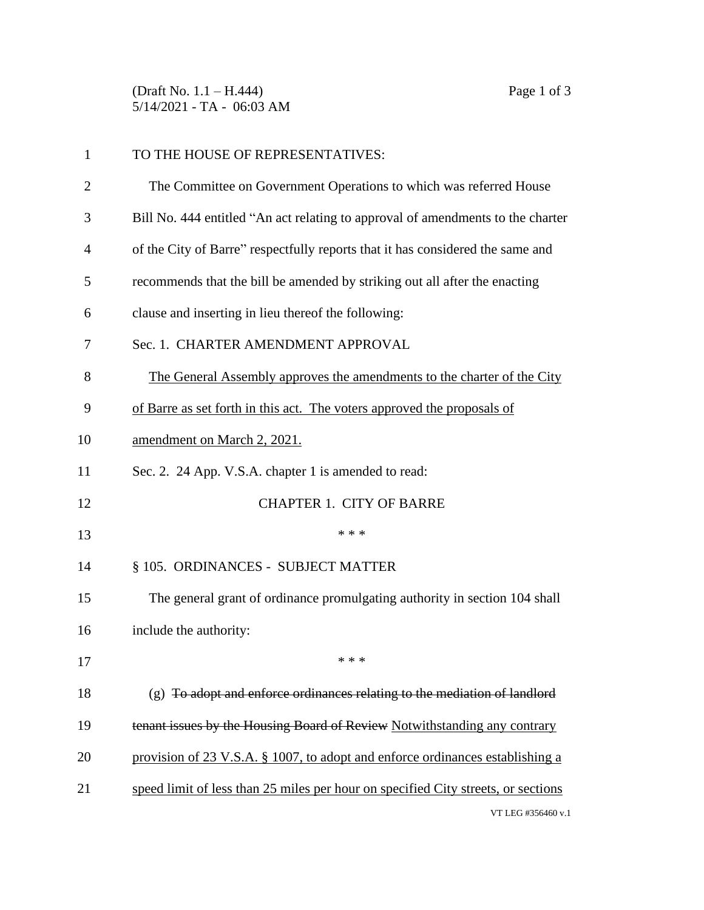(Draft No. 1.1 – H.444) Page 1 of 3 5/14/2021 - TA - 06:03 AM

| $\mathbf{1}$   | TO THE HOUSE OF REPRESENTATIVES:                                                  |
|----------------|-----------------------------------------------------------------------------------|
| $\overline{2}$ | The Committee on Government Operations to which was referred House                |
| 3              | Bill No. 444 entitled "An act relating to approval of amendments to the charter   |
| $\overline{4}$ | of the City of Barre" respectfully reports that it has considered the same and    |
| 5              | recommends that the bill be amended by striking out all after the enacting        |
| 6              | clause and inserting in lieu thereof the following:                               |
| 7              | Sec. 1. CHARTER AMENDMENT APPROVAL                                                |
| 8              | The General Assembly approves the amendments to the charter of the City           |
| 9              | of Barre as set forth in this act. The voters approved the proposals of           |
| 10             | amendment on March 2, 2021.                                                       |
| 11             | Sec. 2. 24 App. V.S.A. chapter 1 is amended to read:                              |
| 12             | <b>CHAPTER 1. CITY OF BARRE</b>                                                   |
| 13             | * * *                                                                             |
| 14             | § 105. ORDINANCES - SUBJECT MATTER                                                |
| 15             | The general grant of ordinance promulgating authority in section 104 shall        |
| 16             | include the authority:                                                            |
| 17             | * * *                                                                             |
| 18             | $(g)$ To adopt and enforce ordinances relating to the mediation of landlord       |
| 19             | tenant issues by the Housing Board of Review Notwithstanding any contrary         |
| 20             | provision of 23 V.S.A. § 1007, to adopt and enforce ordinances establishing a     |
| 21             | speed limit of less than 25 miles per hour on specified City streets, or sections |
|                | VT LEG #356460 v.1                                                                |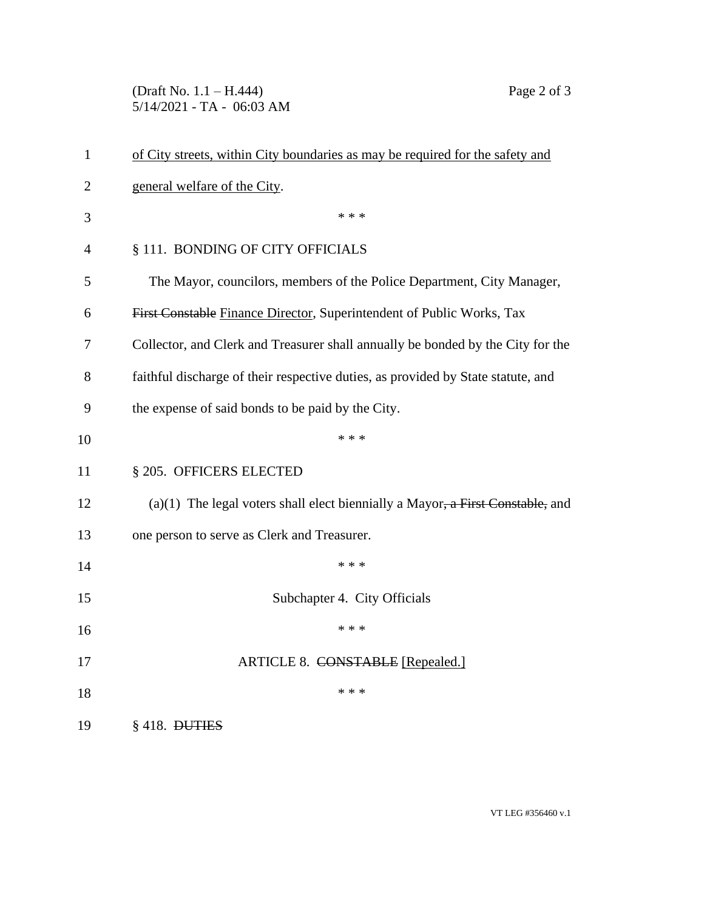(Draft No. 1.1 – H.444) Page 2 of 3 5/14/2021 - TA - 06:03 AM

| $\mathbf{1}$   | of City streets, within City boundaries as may be required for the safety and         |
|----------------|---------------------------------------------------------------------------------------|
| $\overline{2}$ | general welfare of the City.                                                          |
| 3              | * * *                                                                                 |
| $\overline{4}$ | § 111. BONDING OF CITY OFFICIALS                                                      |
| 5              | The Mayor, councilors, members of the Police Department, City Manager,                |
| 6              | First Constable Finance Director, Superintendent of Public Works, Tax                 |
| 7              | Collector, and Clerk and Treasurer shall annually be bonded by the City for the       |
| 8              | faithful discharge of their respective duties, as provided by State statute, and      |
| 9              | the expense of said bonds to be paid by the City.                                     |
| 10             | * * *                                                                                 |
| 11             | § 205. OFFICERS ELECTED                                                               |
| 12             | (a)(1) The legal voters shall elect biennially a Mayor, $\alpha$ First Constable, and |
| 13             | one person to serve as Clerk and Treasurer.                                           |
| 14             | * * *                                                                                 |
| 15             | Subchapter 4. City Officials                                                          |
| 16             | * * *                                                                                 |
| 17             | ARTICLE 8. CONSTABLE [Repealed.]                                                      |
| 18             | * * *                                                                                 |
| 19             | $§$ 418. DUTIES                                                                       |